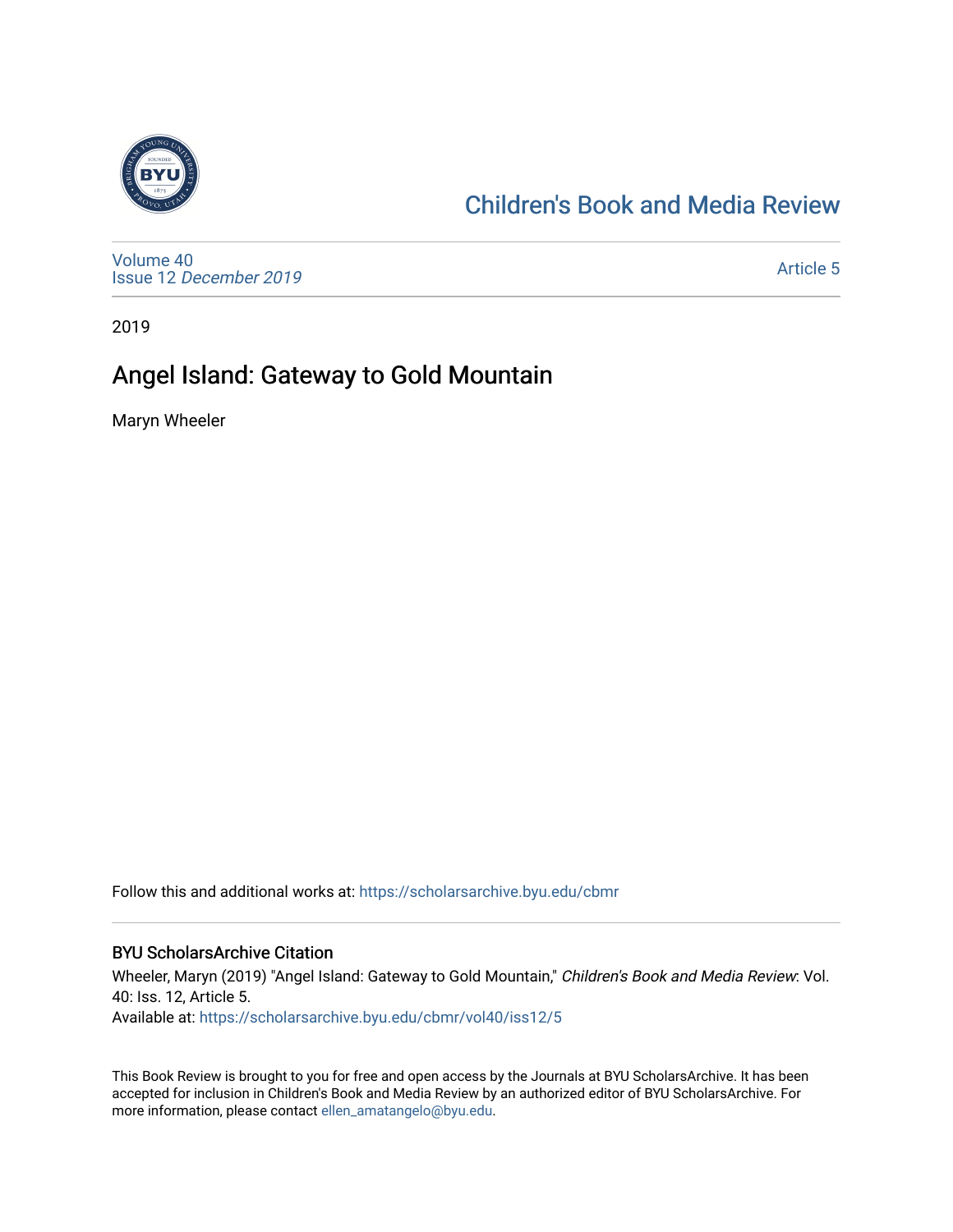

### [Children's Book and Media Review](https://scholarsarchive.byu.edu/cbmr)

[Volume 40](https://scholarsarchive.byu.edu/cbmr/vol40) Issue 12 [December 2019](https://scholarsarchive.byu.edu/cbmr/vol40/iss12)

[Article 5](https://scholarsarchive.byu.edu/cbmr/vol40/iss12/5) 

2019

# Angel Island: Gateway to Gold Mountain

Maryn Wheeler

Follow this and additional works at: [https://scholarsarchive.byu.edu/cbmr](https://scholarsarchive.byu.edu/cbmr?utm_source=scholarsarchive.byu.edu%2Fcbmr%2Fvol40%2Fiss12%2F5&utm_medium=PDF&utm_campaign=PDFCoverPages) 

#### BYU ScholarsArchive Citation

Wheeler, Maryn (2019) "Angel Island: Gateway to Gold Mountain," Children's Book and Media Review: Vol. 40: Iss. 12, Article 5. Available at: [https://scholarsarchive.byu.edu/cbmr/vol40/iss12/5](https://scholarsarchive.byu.edu/cbmr/vol40/iss12/5?utm_source=scholarsarchive.byu.edu%2Fcbmr%2Fvol40%2Fiss12%2F5&utm_medium=PDF&utm_campaign=PDFCoverPages)

This Book Review is brought to you for free and open access by the Journals at BYU ScholarsArchive. It has been accepted for inclusion in Children's Book and Media Review by an authorized editor of BYU ScholarsArchive. For more information, please contact [ellen\\_amatangelo@byu.edu.](mailto:ellen_amatangelo@byu.edu)